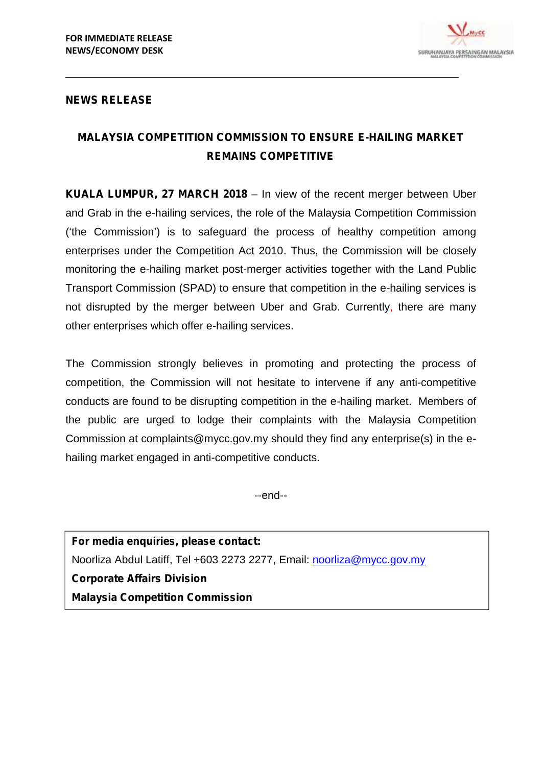

## **NEWS RELEASE**

## **MALAYSIA COMPETITION COMMISSION TO ENSURE E-HAILING MARKET REMAINS COMPETITIVE**

**KUALA LUMPUR, 27 MARCH 2018** – In view of the recent merger between Uber and Grab in the e-hailing services, the role of the Malaysia Competition Commission ('the Commission') is to safeguard the process of healthy competition among enterprises under the Competition Act 2010. Thus, the Commission will be closely monitoring the e-hailing market post-merger activities together with the Land Public Transport Commission (SPAD) to ensure that competition in the e-hailing services is not disrupted by the merger between Uber and Grab. Currently, there are many other enterprises which offer e-hailing services.

The Commission strongly believes in promoting and protecting the process of competition, the Commission will not hesitate to intervene if any anti-competitive conducts are found to be disrupting competition in the e-hailing market. Members of the public are urged to lodge their complaints with the Malaysia Competition Commission at complaints@mycc.gov.my should they find any enterprise(s) in the e hailing market engaged in anti-competitive conducts.

--end--

**For media enquiries, please contact:** Noorliza Abdul Latiff, Tel +603 2273 2277, Email: noorliza@mycc.gov.my **Corporate Affairs Division Malaysia Competition Commission**